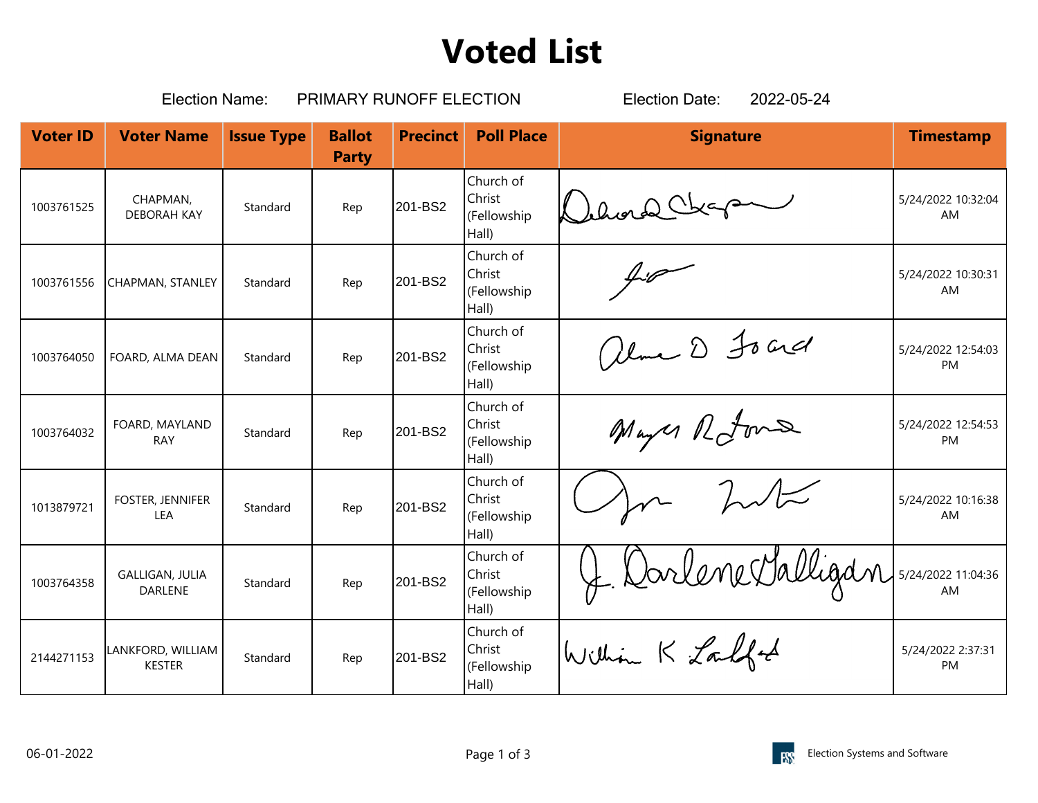## **Voted List**

| <b>Election Name:</b><br>PRIMARY RUNOFF ELECTION |                                          |                   |                               |                 |                                             | 2022-05-24<br><b>Election Date:</b>    |                                 |  |
|--------------------------------------------------|------------------------------------------|-------------------|-------------------------------|-----------------|---------------------------------------------|----------------------------------------|---------------------------------|--|
| <b>Voter ID</b>                                  | <b>Voter Name</b>                        | <b>Issue Type</b> | <b>Ballot</b><br><b>Party</b> | <b>Precinct</b> | <b>Poll Place</b>                           | <b>Signature</b>                       | <b>Timestamp</b>                |  |
| 1003761525                                       | CHAPMAN,<br><b>DEBORAH KAY</b>           | Standard          | Rep                           | 201-BS2         | Church of<br>Christ<br>(Fellowship<br>Hall) | Deloral Chap                           | 5/24/2022 10:32:04<br>AM        |  |
| 1003761556                                       | CHAPMAN, STANLEY                         | Standard          | Rep                           | 201-BS2         | Church of<br>Christ<br>(Fellowship<br>Hall) | 40                                     | 5/24/2022 10:30:31<br>AM        |  |
| 1003764050                                       | FOARD, ALMA DEAN                         | Standard          | Rep                           | 201-BS2         | Church of<br>Christ<br>(Fellowship<br>Hall) | alme D Foard                           | 5/24/2022 12:54:03<br><b>PM</b> |  |
| 1003764032                                       | FOARD, MAYLAND<br><b>RAY</b>             | Standard          | Rep                           | 201-BS2         | Church of<br>Christ<br>(Fellowship<br>Hall) | Mayer Rotons                           | 5/24/2022 12:54:53<br><b>PM</b> |  |
| 1013879721                                       | FOSTER, JENNIFER<br>LEA                  | Standard          | Rep                           | 201-BS2         | Church of<br>Christ<br>(Fellowship<br>Hall) | 2                                      | 5/24/2022 10:16:38<br>AM.       |  |
| 1003764358                                       | <b>GALLIGAN, JULIA</b><br><b>DARLENE</b> | Standard          | Rep                           | 201-BS2         | Church of<br>Christ<br>(Fellowship<br>Hall) | Je Darlene Valligan 5/24/2022 11:04:36 | AM                              |  |
| 2144271153                                       | LANKFORD, WILLIAM<br><b>KESTER</b>       | Standard          | Rep                           | 201-BS2         | Church of<br>Christ<br>(Fellowship<br>Hall) | William K Loulfod                      | 5/24/2022 2:37:31<br>PM         |  |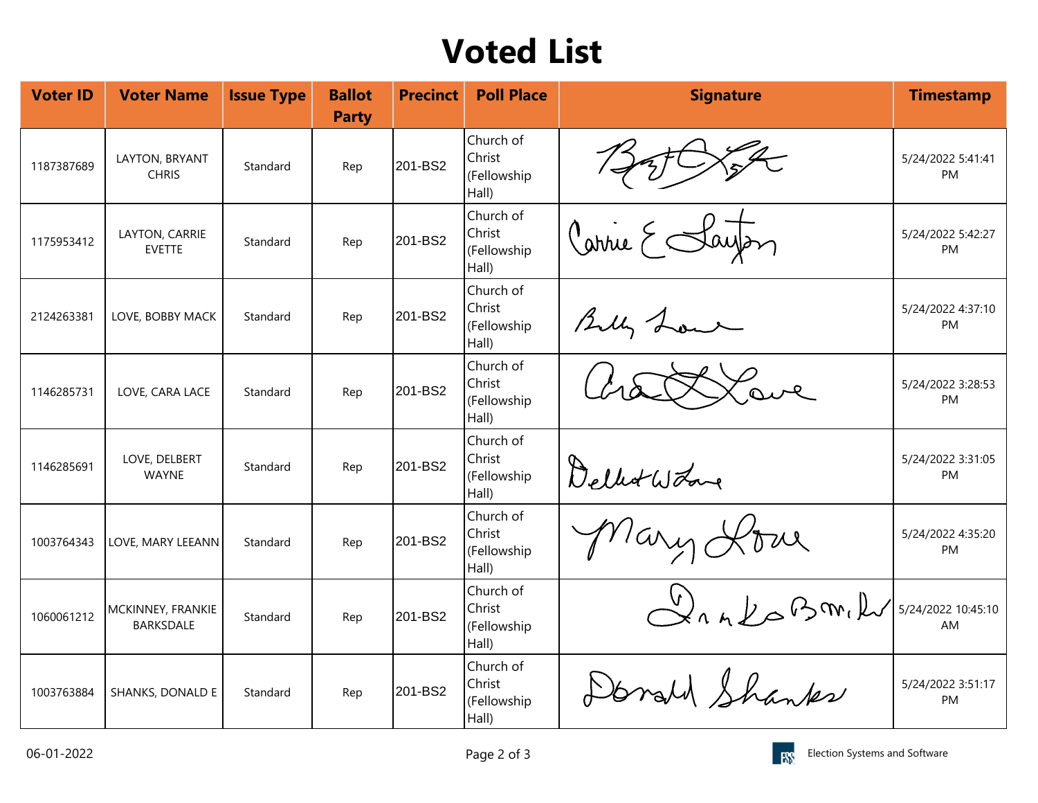## **Voted List**

| <b>Voter ID</b> | <b>Voter Name</b>                     | <b>Issue Type</b> | <b>Ballot</b><br><b>Party</b> | <b>Precinct</b> | <b>Poll Place</b>                           | <b>Signature</b>  | <b>Timestamp</b>               |
|-----------------|---------------------------------------|-------------------|-------------------------------|-----------------|---------------------------------------------|-------------------|--------------------------------|
| 1187387689      | LAYTON, BRYANT<br><b>CHRIS</b>        | Standard          | Rep                           | 201-BS2         | Church of<br>Christ<br>(Fellowship<br>Hall) |                   | 5/24/2022 5:41:41<br>PM        |
| 1175953412      | LAYTON, CARRIE<br><b>EVETTE</b>       | Standard          | Rep                           | 201-BS2         | Church of<br>Christ<br>(Fellowship<br>Hall) | Carrie E Sayon    | 5/24/2022 5:42:27<br>PM        |
| 2124263381      | LOVE, BOBBY MACK                      | Standard          | Rep                           | 201-BS2         | Church of<br>Christ<br>(Fellowship<br>Hall) | Billy Low         | 5/24/2022 4:37:10<br><b>PM</b> |
| 1146285731      | LOVE, CARA LACE                       | Standard          | Rep                           | 201-BS2         | Church of<br>Christ<br>(Fellowship<br>Hall) | Love              | 5/24/2022 3:28:53<br>PM        |
| 1146285691      | LOVE, DELBERT<br><b>WAYNE</b>         | Standard          | Rep                           | 201-BS2         | Church of<br>Christ<br>(Fellowship<br>Hall) | Delbot Word       | 5/24/2022 3:31:05<br>PM        |
| 1003764343      | LOVE, MARY LEEANN                     | Standard          | Rep                           | 201-BS2         | Church of<br>Christ<br>(Fellowship<br>Hall) | Mary Love         | 5/24/2022 4:35:20<br><b>PM</b> |
| 1060061212      | MCKINNEY, FRANKIE<br><b>BARKSDALE</b> | Standard          | Rep                           | 201-BS2         | Church of<br>Christ<br>(Fellowship<br>Hall) | $\sim$ and pomily | 5/24/2022 10:45:10<br>AM       |
| 1003763884      | SHANKS, DONALD E                      | Standard          | Rep                           | 201-BS2         | Church of<br>Christ<br>(Fellowship<br>Hall) | Donald Shanks     | 5/24/2022 3:51:17<br>PM        |